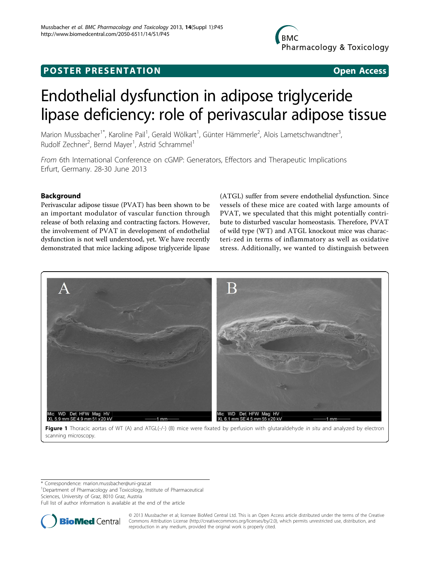# **POSTER PRESENTATION CONSUMING ACCESS**

# Endothelial dysfunction in adipose triglyceride lipase deficiency: role of perivascular adipose tissue

Marion Mussbacher<sup>1\*</sup>, Karoline Pail<sup>1</sup>, Gerald Wölkart<sup>1</sup>, Günter Hämmerle<sup>2</sup>, Alois Lametschwandtner<sup>3</sup> , Rudolf Zechner<sup>2</sup>, Bernd Mayer<sup>1</sup>, Astrid Schrammel<sup>1</sup>

From 6th International Conference on cGMP: Generators, Effectors and Therapeutic Implications Erfurt, Germany. 28-30 June 2013

## Background

Perivascular adipose tissue (PVAT) has been shown to be an important modulator of vascular function through release of both relaxing and contracting factors. However, the involvement of PVAT in development of endothelial dysfunction is not well understood, yet. We have recently demonstrated that mice lacking adipose triglyceride lipase

(ATGL) suffer from severe endothelial dysfunction. Since vessels of these mice are coated with large amounts of PVAT, we speculated that this might potentially contribute to disturbed vascular homeostasis. Therefore, PVAT of wild type (WT) and ATGL knockout mice was characteri-zed in terms of inflammatory as well as oxidative stress. Additionally, we wanted to distinguish between



Figure 1 Thoracic aortas of WT (A) and ATGL(-/-) (B) mice were fixated by perfusion with glutaraldehyde in situ and analyzed by electron scanning microscopy.

\* Correspondence: [marion.mussbacher@uni-graz.at](mailto:marion.mussbacher@uni-graz.at) <sup>1</sup>Department of Pharmacology and Toxicology, Institute of Pharmaceutical

Sciences, University of Graz, 8010 Graz, Austria

Full list of author information is available at the end of the article



© 2013 Mussbacher et al; licensee BioMed Central Ltd. This is an Open Access article distributed under the terms of the Creative Commons Attribution License [\(http://creativecommons.org/licenses/by/2.0](http://creativecommons.org/licenses/by/2.0)), which permits unrestricted use, distribution, and reproduction in any medium, provided the original work is properly cited.